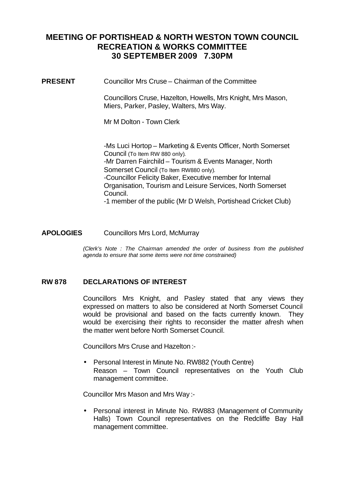# **MEETING OF PORTISHEAD & NORTH WESTON TOWN COUNCIL RECREATION & WORKS COMMITTEE 30 SEPTEMBER 2009 7.30PM**

**PRESENT** Councillor Mrs Cruse – Chairman of the Committee

Councillors Cruse, Hazelton, Howells, Mrs Knight, Mrs Mason, Miers, Parker, Pasley, Walters, Mrs Way.

Mr M Dolton - Town Clerk

-Ms Luci Hortop – Marketing & Events Officer, North Somerset Council (To Item RW 880 only). -Mr Darren Fairchild – Tourism & Events Manager, North Somerset Council (To Item RW880 only). -Councillor Felicity Baker, Executive member for Internal Organisation, Tourism and Leisure Services, North Somerset Council. -1 member of the public (Mr D Welsh, Portishead Cricket Club)

### **APOLOGIES** Councillors Mrs Lord, McMurray

*(Clerk's Note : The Chairman amended the order of business from the published agenda to ensure that some items were not time constrained)*

# **RW 878 DECLARATIONS OF INTEREST**

Councillors Mrs Knight, and Pasley stated that any views they expressed on matters to also be considered at North Somerset Council would be provisional and based on the facts currently known. They would be exercising their rights to reconsider the matter afresh when the matter went before North Somerset Council.

Councillors Mrs Cruse and Hazelton :-

• Personal Interest in Minute No. RW882 (Youth Centre) Reason – Town Council representatives on the Youth Club management committee.

Councillor Mrs Mason and Mrs Way :-

• Personal interest in Minute No. RW883 (Management of Community Halls) Town Council representatives on the Redcliffe Bay Hall management committee.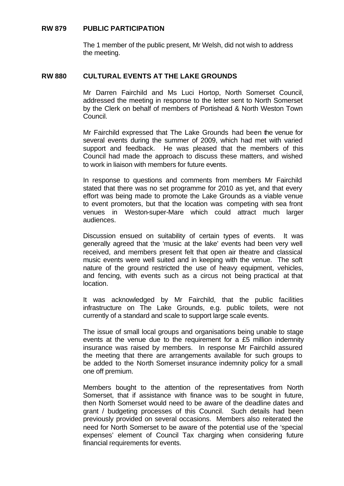# **RW 879 PUBLIC PARTICIPATION**

The 1 member of the public present, Mr Welsh, did not wish to address the meeting.

### **RW 880 CULTURAL EVENTS AT THE LAKE GROUNDS**

Mr Darren Fairchild and Ms Luci Hortop, North Somerset Council, addressed the meeting in response to the letter sent to North Somerset by the Clerk on behalf of members of Portishead & North Weston Town Council.

Mr Fairchild expressed that The Lake Grounds had been the venue for several events during the summer of 2009, which had met with varied support and feedback. He was pleased that the members of this Council had made the approach to discuss these matters, and wished to work in liaison with members for future events.

In response to questions and comments from members Mr Fairchild stated that there was no set programme for 2010 as yet, and that every effort was being made to promote the Lake Grounds as a viable venue to event promoters, but that the location was competing with sea front venues in Weston-super-Mare which could attract much larger audiences.

Discussion ensued on suitability of certain types of events. It was generally agreed that the 'music at the lake' events had been very well received, and members present felt that open air theatre and classical music events were well suited and in keeping with the venue. The soft nature of the ground restricted the use of heavy equipment, vehicles, and fencing, with events such as a circus not being practical at that location.

It was acknowledged by Mr Fairchild, that the public facilities infrastructure on The Lake Grounds, e.g. public toilets, were not currently of a standard and scale to support large scale events.

The issue of small local groups and organisations being unable to stage events at the venue due to the requirement for a £5 million indemnity insurance was raised by members. In response Mr Fairchild assured the meeting that there are arrangements available for such groups to be added to the North Somerset insurance indemnity policy for a small one off premium.

Members bought to the attention of the representatives from North Somerset, that if assistance with finance was to be sought in future, then North Somerset would need to be aware of the deadline dates and grant / budgeting processes of this Council. Such details had been previously provided on several occasions. Members also reiterated the need for North Somerset to be aware of the potential use of the 'special expenses' element of Council Tax charging when considering future financial requirements for events.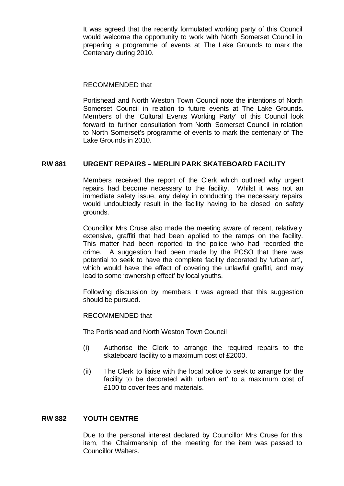It was agreed that the recently formulated working party of this Council would welcome the opportunity to work with North Somerset Council in preparing a programme of events at The Lake Grounds to mark the Centenary during 2010.

### RECOMMENDED that

Portishead and North Weston Town Council note the intentions of North Somerset Council in relation to future events at The Lake Grounds. Members of the 'Cultural Events Working Party' of this Council look forward to further consultation from North Somerset Council in relation to North Somerset's programme of events to mark the centenary of The Lake Grounds in 2010.

# **RW 881 URGENT REPAIRS – MERLIN PARK SKATEBOARD FACILITY**

Members received the report of the Clerk which outlined why urgent repairs had become necessary to the facility. Whilst it was not an immediate safety issue, any delay in conducting the necessary repairs would undoubtedly result in the facility having to be closed on safety grounds.

Councillor Mrs Cruse also made the meeting aware of recent, relatively extensive, graffiti that had been applied to the ramps on the facility. This matter had been reported to the police who had recorded the crime. A suggestion had been made by the PCSO that there was potential to seek to have the complete facility decorated by 'urban art', which would have the effect of covering the unlawful graffiti, and may lead to some 'ownership effect' by local youths.

Following discussion by members it was agreed that this suggestion should be pursued.

### RECOMMENDED that

The Portishead and North Weston Town Council

- (i) Authorise the Clerk to arrange the required repairs to the skateboard facility to a maximum cost of £2000.
- (ii) The Clerk to liaise with the local police to seek to arrange for the facility to be decorated with 'urban art' to a maximum cost of £100 to cover fees and materials.

#### **RW 882 YOUTH CENTRE**

Due to the personal interest declared by Councillor Mrs Cruse for this item, the Chairmanship of the meeting for the item was passed to Councillor Walters.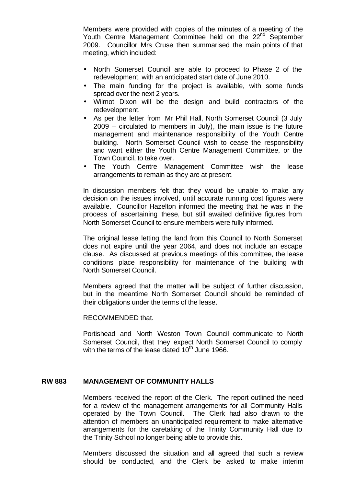Members were provided with copies of the minutes of a meeting of the Youth Centre Management Committee held on the 22<sup>nd</sup> September 2009. Councillor Mrs Cruse then summarised the main points of that meeting, which included:

- North Somerset Council are able to proceed to Phase 2 of the redevelopment, with an anticipated start date of June 2010.
- The main funding for the project is available, with some funds spread over the next 2 years.
- Wilmot Dixon will be the design and build contractors of the redevelopment.
- As per the letter from Mr Phil Hall, North Somerset Council (3 July 2009 – circulated to members in July), the main issue is the future management and maintenance responsibility of the Youth Centre building. North Somerset Council wish to cease the responsibility and want either the Youth Centre Management Committee, or the Town Council, to take over.
- The Youth Centre Management Committee wish the lease arrangements to remain as they are at present.

In discussion members felt that they would be unable to make any decision on the issues involved, until accurate running cost figures were available. Councillor Hazelton informed the meeting that he was in the process of ascertaining these, but still awaited definitive figures from North Somerset Council to ensure members were fully informed.

The original lease letting the land from this Council to North Somerset does not expire until the year 2064, and does not include an escape clause. As discussed at previous meetings of this committee, the lease conditions place responsibility for maintenance of the building with North Somerset Council.

Members agreed that the matter will be subject of further discussion, but in the meantime North Somerset Council should be reminded of their obligations under the terms of the lease.

RECOMMENDED that.

Portishead and North Weston Town Council communicate to North Somerset Council, that they expect North Somerset Council to comply with the terms of the lease dated  $10<sup>th</sup>$  June 1966.

# **RW 883 MANAGEMENT OF COMMUNITY HALLS**

Members received the report of the Clerk. The report outlined the need for a review of the management arrangements for all Community Halls operated by the Town Council. The Clerk had also drawn to the attention of members an unanticipated requirement to make alternative arrangements for the caretaking of the Trinity Community Hall due to the Trinity School no longer being able to provide this.

Members discussed the situation and all agreed that such a review should be conducted, and the Clerk be asked to make interim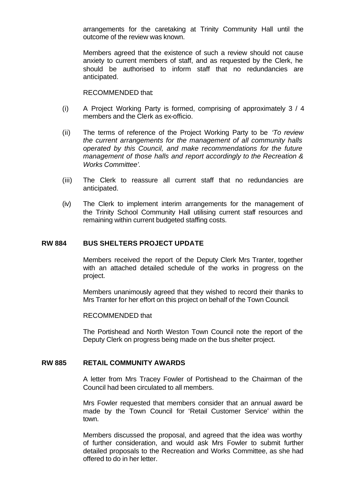arrangements for the caretaking at Trinity Community Hall until the outcome of the review was known.

Members agreed that the existence of such a review should not cause anxiety to current members of staff, and as requested by the Clerk, he should be authorised to inform staff that no redundancies are anticipated.

RECOMMENDED that:

- (i) A Project Working Party is formed, comprising of approximately 3 / 4 members and the Clerk as ex-officio.
- (ii) The terms of reference of the Project Working Party to be *'To review the current arrangements for the management of all community halls operated by this Council, and make recommendations for the future management of those halls and report accordingly to the Recreation & Works Committee'.*
- (iii) The Clerk to reassure all current staff that no redundancies are anticipated.
- (iv) The Clerk to implement interim arrangements for the management of the Trinity School Community Hall utilising current staff resources and remaining within current budgeted staffing costs.

#### **RW 884 BUS SHELTERS PROJECT UPDATE**

Members received the report of the Deputy Clerk Mrs Tranter, together with an attached detailed schedule of the works in progress on the project.

Members unanimously agreed that they wished to record their thanks to Mrs Tranter for her effort on this project on behalf of the Town Council.

RECOMMENDED that

The Portishead and North Weston Town Council note the report of the Deputy Clerk on progress being made on the bus shelter project.

#### **RW 885 RETAIL COMMUNITY AWARDS**

A letter from Mrs Tracey Fowler of Portishead to the Chairman of the Council had been circulated to all members.

Mrs Fowler requested that members consider that an annual award be made by the Town Council for 'Retail Customer Service' within the town.

Members discussed the proposal, and agreed that the idea was worthy of further consideration, and would ask Mrs Fowler to submit further detailed proposals to the Recreation and Works Committee, as she had offered to do in her letter.